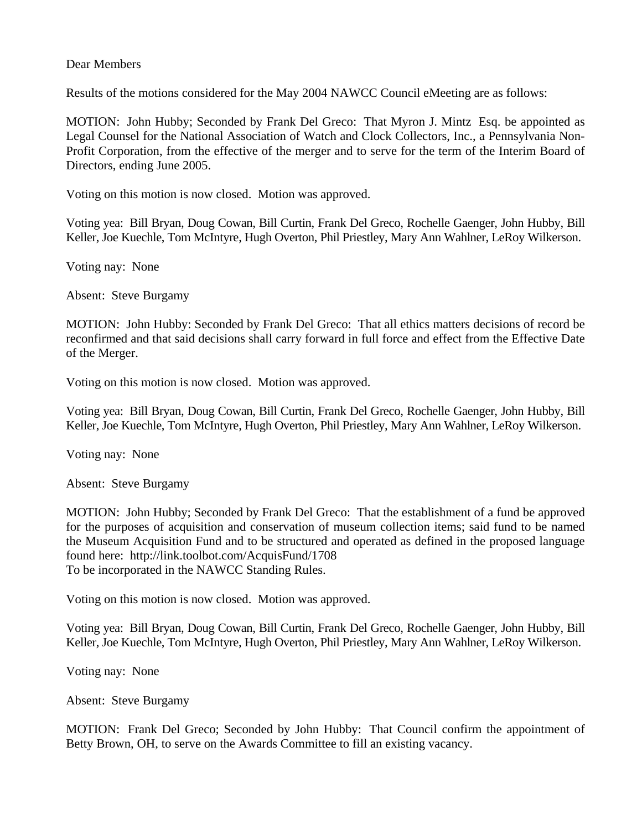## Dear Members

Results of the motions considered for the May 2004 NAWCC Council eMeeting are as follows:

MOTION: John Hubby; Seconded by Frank Del Greco: That Myron J. Mintz Esq. be appointed as Legal Counsel for the National Association of Watch and Clock Collectors, Inc., a Pennsylvania Non-Profit Corporation, from the effective of the merger and to serve for the term of the Interim Board of Directors, ending June 2005.

Voting on this motion is now closed. Motion was approved.

Voting yea: Bill Bryan, Doug Cowan, Bill Curtin, Frank Del Greco, Rochelle Gaenger, John Hubby, Bill Keller, Joe Kuechle, Tom McIntyre, Hugh Overton, Phil Priestley, Mary Ann Wahlner, LeRoy Wilkerson.

Voting nay: None

Absent: Steve Burgamy

MOTION: John Hubby: Seconded by Frank Del Greco: That all ethics matters decisions of record be reconfirmed and that said decisions shall carry forward in full force and effect from the Effective Date of the Merger.

Voting on this motion is now closed. Motion was approved.

Voting yea: Bill Bryan, Doug Cowan, Bill Curtin, Frank Del Greco, Rochelle Gaenger, John Hubby, Bill Keller, Joe Kuechle, Tom McIntyre, Hugh Overton, Phil Priestley, Mary Ann Wahlner, LeRoy Wilkerson.

Voting nay: None

Absent: Steve Burgamy

MOTION: John Hubby; Seconded by Frank Del Greco: That the establishment of a fund be approved for the purposes of acquisition and conservation of museum collection items; said fund to be named the Museum Acquisition Fund and to be structured and operated as defined in the proposed language found here: http://link.toolbot.com/AcquisFund/1708 To be incorporated in the NAWCC Standing Rules.

Voting on this motion is now closed. Motion was approved.

Voting yea: Bill Bryan, Doug Cowan, Bill Curtin, Frank Del Greco, Rochelle Gaenger, John Hubby, Bill Keller, Joe Kuechle, Tom McIntyre, Hugh Overton, Phil Priestley, Mary Ann Wahlner, LeRoy Wilkerson.

Voting nay: None

Absent: Steve Burgamy

MOTION: Frank Del Greco; Seconded by John Hubby: That Council confirm the appointment of Betty Brown, OH, to serve on the Awards Committee to fill an existing vacancy.